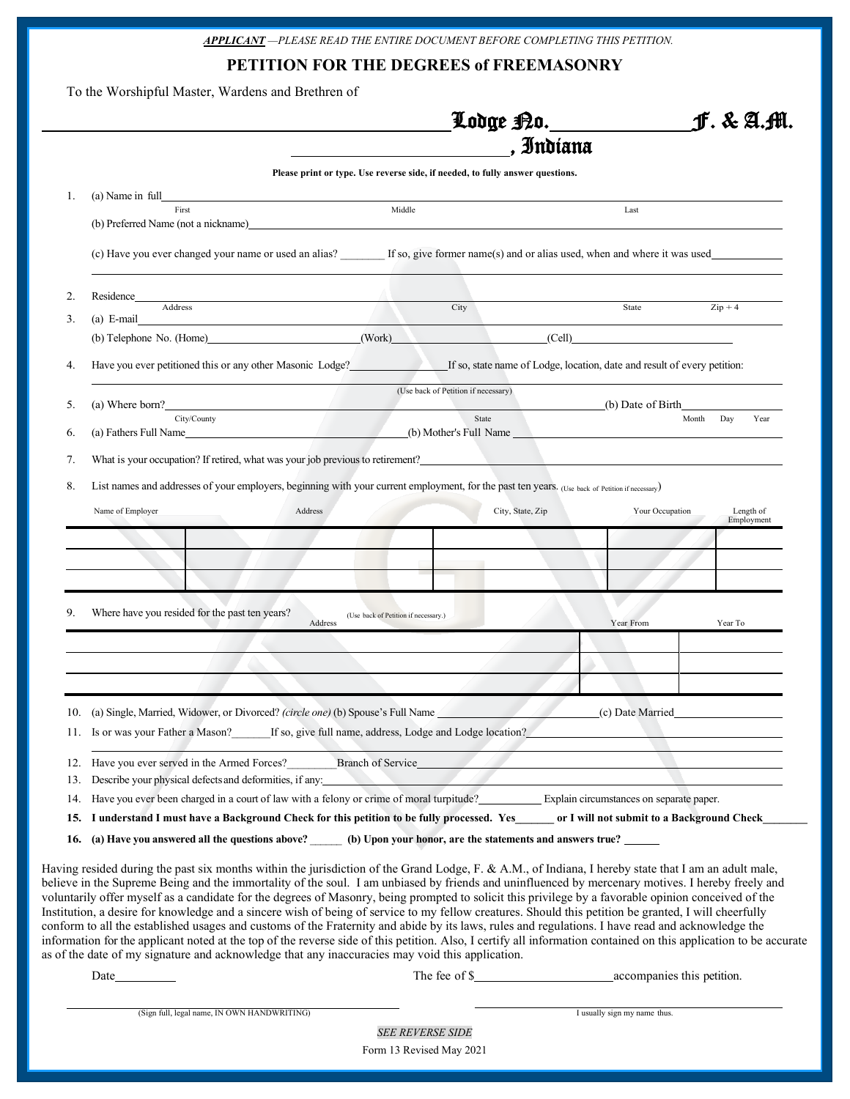*APPLICANT —PLEASE READ THE ENTIRE DOCUMENT BEFORE COMPLETING THIS PETITION.*

**PETITION FOR THE DEGREES of FREEMASONRY**

To the Worshipful Master, Wardens and Brethren of

|     |                                                                                                                                                                                                                                                                      |                                                                               | Lodge <u>P</u> o._________   | J. & A.M.               |
|-----|----------------------------------------------------------------------------------------------------------------------------------------------------------------------------------------------------------------------------------------------------------------------|-------------------------------------------------------------------------------|------------------------------|-------------------------|
|     |                                                                                                                                                                                                                                                                      |                                                                               | , Indiana                    |                         |
|     |                                                                                                                                                                                                                                                                      | Please print or type. Use reverse side, if needed, to fully answer questions. |                              |                         |
| 1.  | (a) Name in full                                                                                                                                                                                                                                                     |                                                                               |                              |                         |
|     | First<br>(b) Preferred Name (not a nickname) Letter and the state of the state of the state of the state of the state of the state of the state of the state of the state of the state of the state of the state of the state of the st                              | Middle                                                                        | Last                         |                         |
|     | (c) Have you ever changed your name or used an alias? If so, give former name(s) and or alias used, when and where it was used                                                                                                                                       |                                                                               |                              |                         |
| 2.  | Residence<br>Address                                                                                                                                                                                                                                                 | City                                                                          | State                        | $\mathrm{Zip} + 4$      |
| 3.  | $(a)$ E-mail                                                                                                                                                                                                                                                         |                                                                               |                              |                         |
|     | (b) Telephone No. (Home) (Work) (Cell)                                                                                                                                                                                                                               |                                                                               |                              |                         |
| 4.  | Have you ever petitioned this or any other Masonic Lodge?<br>If so, state name of Lodge, location, date and result of every petition:                                                                                                                                |                                                                               |                              |                         |
| 5.  | (a) Where born?                                                                                                                                                                                                                                                      | (Use back of Petition if necessary)                                           | (b) Date of Birth            |                         |
|     | City/County                                                                                                                                                                                                                                                          | State                                                                         |                              | Month Day<br>Year       |
| 6.  | (a) Fathers Full Name (b) Mother's Full Name (b) Mother's Full Name                                                                                                                                                                                                  |                                                                               |                              |                         |
| 7.  | What is your occupation? If retired, what was your job previous to retirement?<br>The structure of the structure of the structure of the structure of the structure of the structure of the structure of the structure of the st                                     |                                                                               |                              |                         |
| 8.  | List names and addresses of your employers, beginning with your current employment, for the past ten years. (Use back of Petition if necessary)                                                                                                                      |                                                                               |                              |                         |
|     |                                                                                                                                                                                                                                                                      |                                                                               |                              |                         |
|     | Name of Employer<br>Address                                                                                                                                                                                                                                          | City, State, Zip                                                              | Your Occupation              | Length of<br>Employment |
|     |                                                                                                                                                                                                                                                                      |                                                                               |                              |                         |
|     |                                                                                                                                                                                                                                                                      |                                                                               |                              |                         |
|     |                                                                                                                                                                                                                                                                      |                                                                               |                              |                         |
|     |                                                                                                                                                                                                                                                                      |                                                                               |                              |                         |
|     |                                                                                                                                                                                                                                                                      |                                                                               |                              |                         |
| 9.  | Where have you resided for the past ten years?<br>Address                                                                                                                                                                                                            | (Use back of Petition if necessary.)                                          | Year From                    | Year To                 |
|     |                                                                                                                                                                                                                                                                      |                                                                               |                              |                         |
|     |                                                                                                                                                                                                                                                                      |                                                                               |                              |                         |
|     |                                                                                                                                                                                                                                                                      |                                                                               |                              |                         |
|     |                                                                                                                                                                                                                                                                      |                                                                               |                              |                         |
|     | 10. (a) Single, Married, Widower, or Divorced? <i>(circle one)</i> (b) Spouse's Full Name                                                                                                                                                                            |                                                                               | (c) Date Married             |                         |
|     | 11. Is or was your Father a Mason?                                                                                                                                                                                                                                   | If so, give full name, address, Lodge and Lodge location?                     |                              |                         |
|     |                                                                                                                                                                                                                                                                      | Branch of Service                                                             |                              |                         |
| 13. | 12. Have you ever served in the Armed Forces?<br>Describe your physical defects and deformities, if any:                                                                                                                                                             |                                                                               |                              |                         |
| 14. | Have you ever been charged in a court of law with a felony or crime of moral turpitude?<br>Explain circumstances on separate paper.                                                                                                                                  |                                                                               |                              |                         |
|     | 15. I understand I must have a Background Check for this petition to be fully processed. Yes ______ or I will not submit to a Background Check                                                                                                                       |                                                                               |                              |                         |
|     |                                                                                                                                                                                                                                                                      |                                                                               |                              |                         |
| 16. | (a) Have you answered all the questions above? _______ (b) Upon your honor, are the statements and answers true? ______                                                                                                                                              |                                                                               |                              |                         |
|     | Having resided during the past six months within the jurisdiction of the Grand Lodge, F. & A.M., of Indiana, I hereby state that I am an adult male,                                                                                                                 |                                                                               |                              |                         |
|     | believe in the Supreme Being and the immortality of the soul. I am unbiased by friends and uninfluenced by mercenary motives. I hereby freely and                                                                                                                    |                                                                               |                              |                         |
|     | voluntarily offer myself as a candidate for the degrees of Masonry, being prompted to solicit this privilege by a favorable opinion conceived of the                                                                                                                 |                                                                               |                              |                         |
|     | Institution, a desire for knowledge and a sincere wish of being of service to my fellow creatures. Should this petition be granted, I will cheerfully                                                                                                                |                                                                               |                              |                         |
|     | conform to all the established usages and customs of the Fraternity and abide by its laws, rules and regulations. I have read and acknowledge the                                                                                                                    |                                                                               |                              |                         |
|     | information for the applicant noted at the top of the reverse side of this petition. Also, I certify all information contained on this application to be accurate<br>as of the date of my signature and acknowledge that any inaccuracies may void this application. |                                                                               |                              |                         |
|     | Date                                                                                                                                                                                                                                                                 |                                                                               |                              |                         |
|     |                                                                                                                                                                                                                                                                      |                                                                               |                              |                         |
|     |                                                                                                                                                                                                                                                                      |                                                                               |                              |                         |
|     | (Sign full, legal name, IN OWN HANDWRITING)                                                                                                                                                                                                                          |                                                                               | I usually sign my name thus. |                         |
|     |                                                                                                                                                                                                                                                                      |                                                                               |                              |                         |

Form 13 Revised May 2021